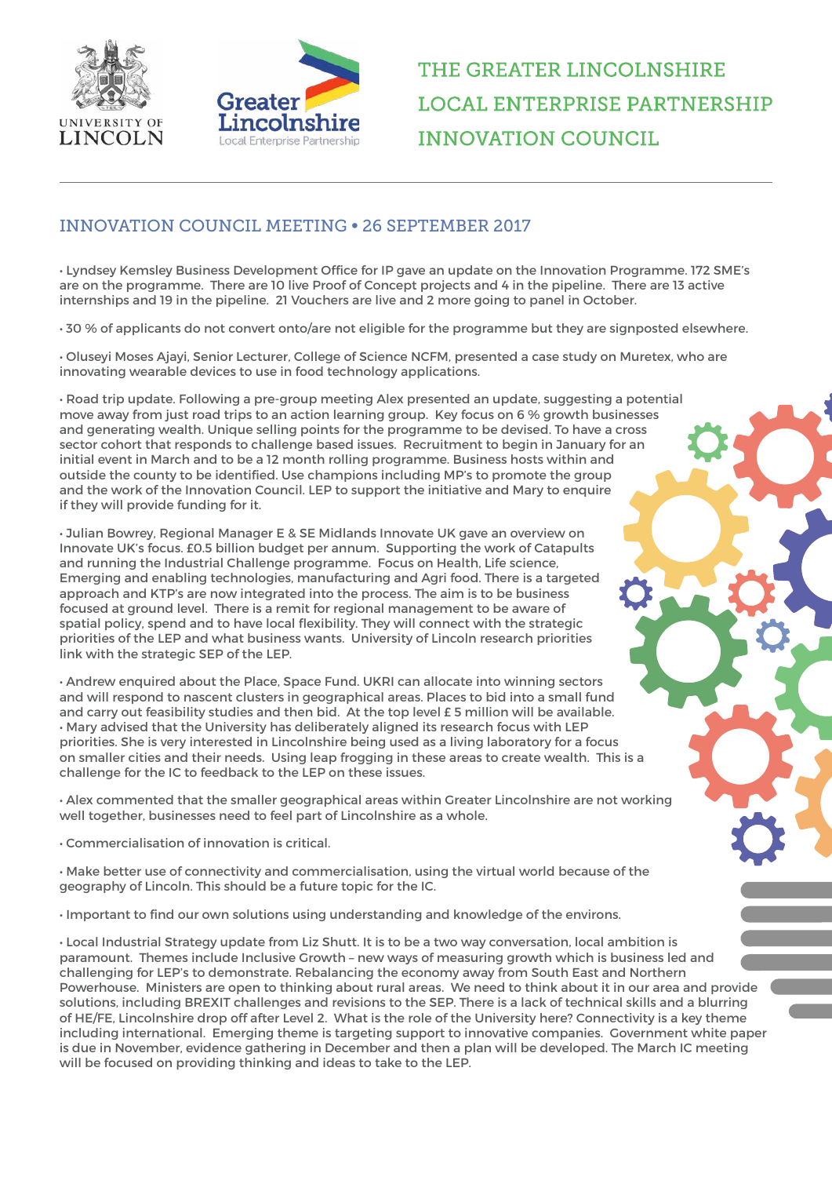



## THE GREATER LINCOLNSHIRE **LOCAL ENTERPRISE PARTNERSHIP INNOVATION COUNCIL**

## INNOVATION COUNCIL MEETING • 26 SEPTEMBER 2017

• Lyndsey Kemsley Business Development Office for IP gave an update on the Innovation Programme. 172 SME's are on the programme. There are 10 live Proof of Concept projects and 4 in the pipeline. There are 13 active internships and 19 in the pipeline. 21 Vouchers are live and 2 more going to panel in October.

• 30 % of applicants do not convert onto/are not eligible for the programme but they are signposted elsewhere.

• Oluseyi Moses Ajayi, Senior Lecturer, College of Science NCFM, presented a case study on Muretex, who are innovating wearable devices to use in food technology applications.

• Road trip update. Following a pre-group meeting Alex presented an update, suggesting a potential move away from just road trips to an action learning group. Key focus on 6 % growth businesses and generating wealth. Unique selling points for the programme to be devised. To have a cross sector cohort that responds to challenge based issues. Recruitment to begin in January for an initial event in March and to be a 12 month rolling programme. Business hosts within and outside the county to be identified. Use champions including MP's to promote the group and the work of the Innovation Council. LEP to support the initiative and Mary to enquire if they will provide funding for it.

• Julian Bowrey, Regional Manager E & SE Midlands Innovate UK gave an overview on Innovate UK's focus. £0.5 billion budget per annum. Supporting the work of Catapults and running the Industrial Challenge programme. Focus on Health, Life science, Emerging and enabling technologies, manufacturing and Agri food. There is a targeted approach and KTP's are now integrated into the process. The aim is to be business focused at ground level. There is a remit for regional management to be aware of spatial policy, spend and to have local flexibility. They will connect with the strategic priorities of the LEP and what business wants. University of Lincoln research priorities link with the strategic SEP of the LEP.

• Andrew enquired about the Place, Space Fund. UKRI can allocate into winning sectors and will respond to nascent clusters in geographical areas. Places to bid into a small fund and carry out feasibility studies and then bid. At the top level £ 5 million will be available. • Mary advised that the University has deliberately aligned its research focus with LEP priorities. She is very interested in Lincolnshire being used as a living laboratory for a focus on smaller cities and their needs. Using leap frogging in these areas to create wealth. This is a challenge for the IC to feedback to the LEP on these issues.

• Alex commented that the smaller geographical areas within Greater Lincolnshire are not working well together, businesses need to feel part of Lincolnshire as a whole.

• Commercialisation of innovation is critical.

• Make better use of connectivity and commercialisation, using the virtual world because of the geography of Lincoln. This should be a future topic for the IC.

• Important to find our own solutions using understanding and knowledge of the environs.

• Local Industrial Strategy update from Liz Shutt. It is to be a two way conversation, local ambition is paramount. Themes include Inclusive Growth – new ways of measuring growth which is business led and challenging for LEP's to demonstrate. Rebalancing the economy away from South East and Northern Powerhouse. Ministers are open to thinking about rural areas. We need to think about it in our area and provide solutions, including BREXIT challenges and revisions to the SEP. There is a lack of technical skills and a blurring of HE/FE, Lincolnshire drop off after Level 2. What is the role of the University here? Connectivity is a key theme including international. Emerging theme is targeting support to innovative companies. Government white paper is due in November, evidence gathering in December and then a plan will be developed. The March IC meeting will be focused on providing thinking and ideas to take to the LEP.